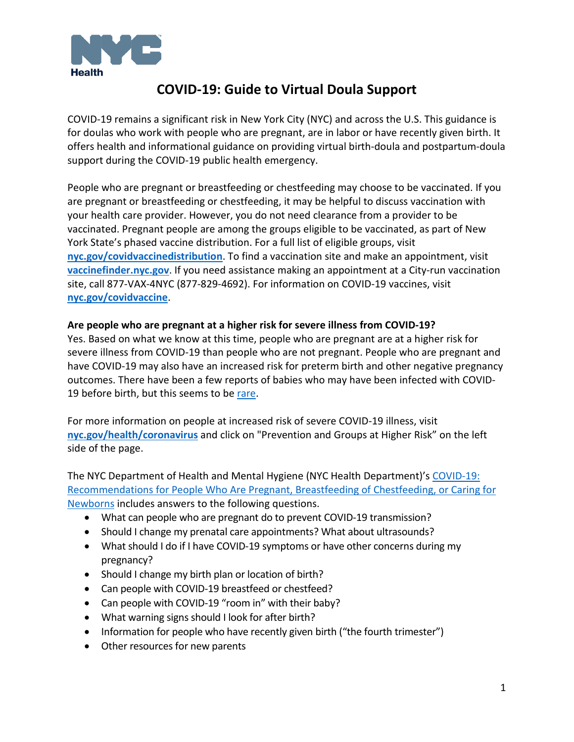

# **COVID-19: Guide to Virtual Doula Support**

COVID-19 remains a significant risk in New York City (NYC) and across the U.S. This guidance is for doulas who work with people who are pregnant, are in labor or have recently given birth. It offers health and informational guidance on providing virtual birth-doula and postpartum-doula support during the COVID-19 public health emergency.

People who are pregnant or breastfeeding or chestfeeding may choose to be vaccinated. If you are pregnant or breastfeeding or chestfeeding, it may be helpful to discuss vaccination with your health care provider. However, you do not need clearance from a provider to be vaccinated. Pregnant people are among the groups eligible to be vaccinated, as part of New York State's phased vaccine distribution. For a full list of eligible groups, visit **[nyc.gov/covidvaccinedistribution](https://www1.nyc.gov/site/doh/covid/covid-19-vaccine-eligibility.page)**. To find a vaccination site and make an appointment, visit **[vaccinefinder.nyc.gov](http://vaccinefinder.nyc.gov/)**. If you need assistance making an appointment at a City-run vaccination site, call 877-VAX-4NYC (877-829-4692). For information on COVID-19 vaccines, visit **[nyc.gov/covidvaccine](https://www1.nyc.gov/site/doh/covid/covid-19-vaccines.page)**.

#### **Are people who are pregnant at a higher risk for severe illness from COVID-19?**

Yes. Based on what we know at this time, people who are pregnant are at a higher risk for severe illness from COVID-19 than people who are not pregnant. People who are pregnant and have COVID-19 may also have an increased risk for preterm birth and other negative pregnancy outcomes. There have been a few reports of babies who may have been infected with COVID-19 before birth, but this seems to be [rare.](https://www.ncbi.nlm.nih.gov/pmc/articles/PMC7392880/pdf/main.pdf)

For more information on people at increased risk of severe COVID-19 illness, visit **[nyc.gov/health/coronavirus](https://www1.nyc.gov/site/doh/covid/covid-19-main.page)** and click on "Prevention and Groups at Higher Risk" on the left side of the page.

The NYC Department of Health and Mental Hygiene (NYC Health Department)'s [COVID-19:](https://www1.nyc.gov/assets/doh/downloads/pdf/imm/covid-19-guidance-for-pregnant-people.pdf)  [Recommendations for People Who Are Pregnant, Breastfeeding of Chestfeeding, or Caring for](https://www1.nyc.gov/assets/doh/downloads/pdf/imm/covid-19-guidance-for-pregnant-people.pdf)  [Newborns](https://www1.nyc.gov/assets/doh/downloads/pdf/imm/covid-19-guidance-for-pregnant-people.pdf) includes answers to the following questions.

- What can people who are pregnant do to prevent COVID-19 transmission?
- Should I change my prenatal care appointments? What about ultrasounds?
- What should I do if I have COVID-19 symptoms or have other concerns during my pregnancy?
- Should I change my birth plan or location of birth?
- Can people with COVID-19 breastfeed or chestfeed?
- Can people with COVID-19 "room in" with their baby?
- What warning signs should I look for after birth?
- Information for people who have recently given birth ("the fourth trimester")
- Other resources for new parents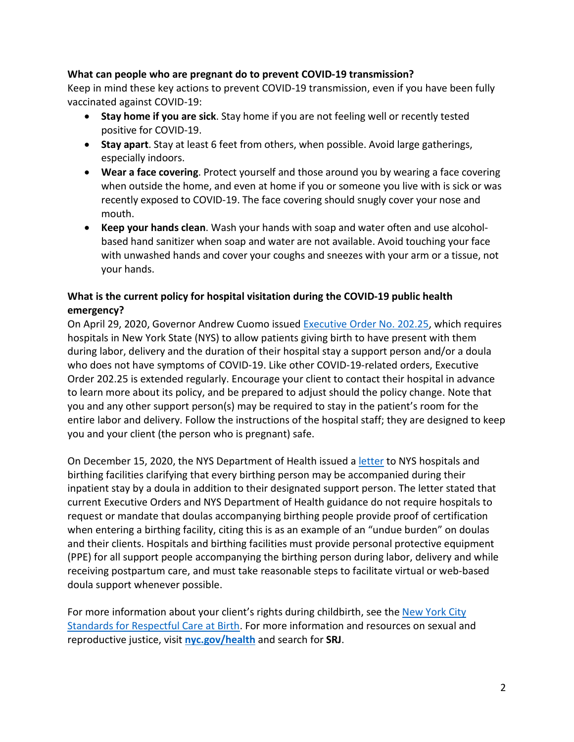#### **What can people who are pregnant do to prevent COVID-19 transmission?**

Keep in mind these key actions to prevent COVID-19 transmission, even if you have been fully vaccinated against COVID-19:

- **Stay home if you are sick**. Stay home if you are not feeling well or recently tested positive for COVID-19.
- **Stay apart**. Stay at least 6 feet from others, when possible. Avoid large gatherings, especially indoors.
- **Wear a face covering**. Protect yourself and those around you by wearing a face covering when outside the home, and even at home if you or someone you live with is sick or was recently exposed to COVID-19. The face covering should snugly cover your nose and mouth.
- **Keep your hands clean**. Wash your hands with soap and water often and use alcoholbased hand sanitizer when soap and water are not available. Avoid touching your face with unwashed hands and cover your coughs and sneezes with your arm or a tissue, not your hands.

# **What is the current policy for hospital visitation during the COVID-19 public health emergency?**

On April 29, 2020, Governor Andrew Cuomo issued [Executive Order No. 202.25,](https://www.governor.ny.gov/sites/governor.ny.gov/files/atoms/files/EO_202.25.pdf) which requires hospitals in New York State (NYS) to allow patients giving birth to have present with them during labor, delivery and the duration of their hospital stay a support person and/or a doula who does not have symptoms of COVID-19. Like other COVID-19-related orders, Executive Order 202.25 is extended regularly. Encourage your client to contact their hospital in advance to learn more about its policy, and be prepared to adjust should the policy change. Note that you and any other support person(s) may be required to stay in the patient's room for the entire labor and delivery. Follow the instructions of the hospital staff; they are designed to keep you and your client (the person who is pregnant) safe.

On December 15, 2020, the NYS Department of Health issued [a letter](https://www.health.ny.gov/professionals/hospital_administrator/letters/2020/docs/dal_20-15_hosp_letter.pdf) to NYS hospitals and birthing facilities clarifying that every birthing person may be accompanied during their inpatient stay by a doula in addition to their designated support person. The letter stated that current Executive Orders and NYS Department of Health guidance do not require hospitals to request or mandate that doulas accompanying birthing people provide proof of certification when entering a birthing facility, citing this is as an example of an "undue burden" on doulas and their clients. Hospitals and birthing facilities must provide personal protective equipment (PPE) for all support people accompanying the birthing person during labor, delivery and while receiving postpartum care, and must take reasonable steps to facilitate virtual or web-based doula support whenever possible.

For more information about your client's rights during childbirth, see the [New York City](https://www1.nyc.gov/assets/doh/downloads/pdf/ms/respectful-care-birth-brochure.pdf)  [Standards for Respectful Care at Birth.](https://www1.nyc.gov/assets/doh/downloads/pdf/ms/respectful-care-birth-brochure.pdf) For more information and resources on sexual and reproductive justice, visit **[nyc.gov/health](http://nyc.gov/health)** and search for **SRJ**.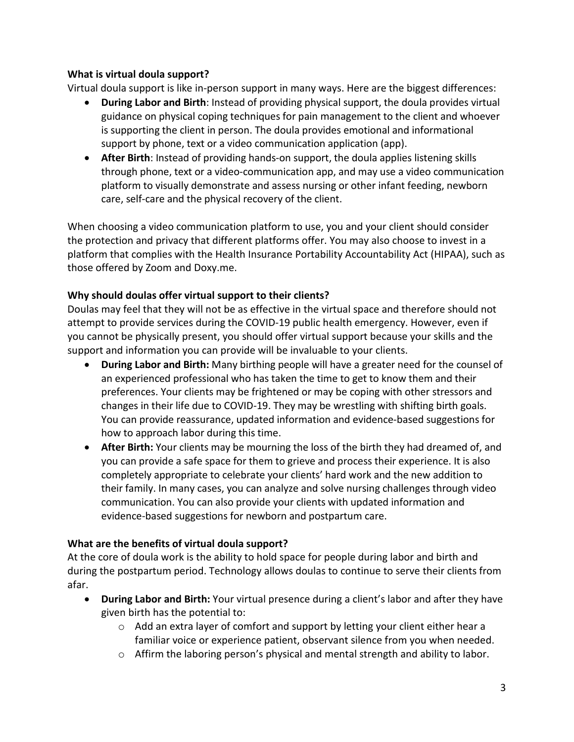## **What is virtual doula support?**

Virtual doula support is like in-person support in many ways. Here are the biggest differences:

- **During Labor and Birth**: Instead of providing physical support, the doula provides virtual guidance on physical coping techniques for pain management to the client and whoever is supporting the client in person. The doula provides emotional and informational support by phone, text or a video communication application (app).
- **After Birth**: Instead of providing hands-on support, the doula applies listening skills through phone, text or a video-communication app, and may use a video communication platform to visually demonstrate and assess nursing or other infant feeding, newborn care, self-care and the physical recovery of the client.

When choosing a video communication platform to use, you and your client should consider the protection and privacy that different platforms offer. You may also choose to invest in a platform that complies with the Health Insurance Portability Accountability Act (HIPAA), such as those offered by Zoom and Doxy.me.

## **Why should doulas offer virtual support to their clients?**

Doulas may feel that they will not be as effective in the virtual space and therefore should not attempt to provide services during the COVID-19 public health emergency. However, even if you cannot be physically present, you should offer virtual support because your skills and the support and information you can provide will be invaluable to your clients.

- **During Labor and Birth:** Many birthing people will have a greater need for the counsel of an experienced professional who has taken the time to get to know them and their preferences. Your clients may be frightened or may be coping with other stressors and changes in their life due to COVID-19. They may be wrestling with shifting birth goals. You can provide reassurance, updated information and evidence-based suggestions for how to approach labor during this time.
- **After Birth:** Your clients may be mourning the loss of the birth they had dreamed of, and you can provide a safe space for them to grieve and process their experience. It is also completely appropriate to celebrate your clients' hard work and the new addition to their family. In many cases, you can analyze and solve nursing challenges through video communication. You can also provide your clients with updated information and evidence-based suggestions for newborn and postpartum care.

## **What are the benefits of virtual doula support?**

At the core of doula work is the ability to hold space for people during labor and birth and during the postpartum period. Technology allows doulas to continue to serve their clients from afar.

- **During Labor and Birth:** Your virtual presence during a client's labor and after they have given birth has the potential to:
	- $\circ$  Add an extra layer of comfort and support by letting your client either hear a familiar voice or experience patient, observant silence from you when needed.
	- o Affirm the laboring person's physical and mental strength and ability to labor.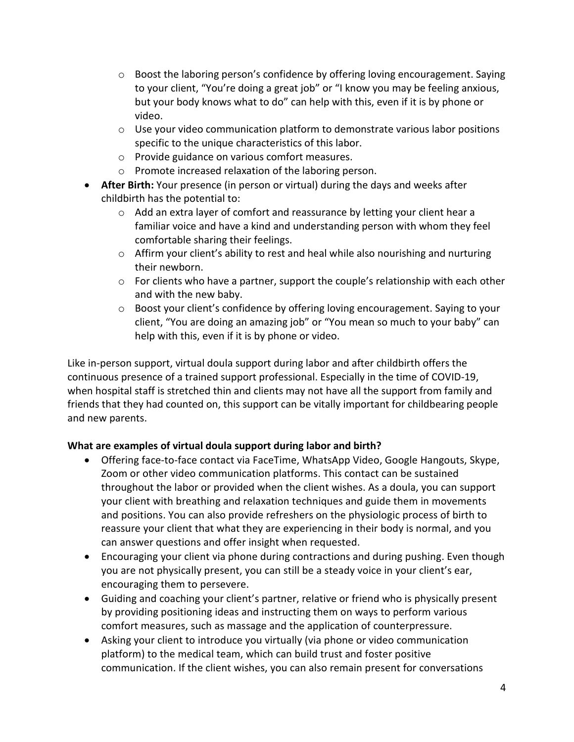- $\circ$  Boost the laboring person's confidence by offering loving encouragement. Saying to your client, "You're doing a great job" or "I know you may be feeling anxious, but your body knows what to do" can help with this, even if it is by phone or video.
- $\circ$  Use your video communication platform to demonstrate various labor positions specific to the unique characteristics of this labor.
- o Provide guidance on various comfort measures.
- o Promote increased relaxation of the laboring person.
- **After Birth:** Your presence (in person or virtual) during the days and weeks after childbirth has the potential to:
	- $\circ$  Add an extra layer of comfort and reassurance by letting your client hear a familiar voice and have a kind and understanding person with whom they feel comfortable sharing their feelings.
	- $\circ$  Affirm your client's ability to rest and heal while also nourishing and nurturing their newborn.
	- o For clients who have a partner, support the couple's relationship with each other and with the new baby.
	- o Boost your client's confidence by offering loving encouragement. Saying to your client, "You are doing an amazing job" or "You mean so much to your baby" can help with this, even if it is by phone or video.

Like in-person support, virtual doula support during labor and after childbirth offers the continuous presence of a trained support professional. Especially in the time of COVID-19, when hospital staff is stretched thin and clients may not have all the support from family and friends that they had counted on, this support can be vitally important for childbearing people and new parents.

# **What are examples of virtual doula support during labor and birth?**

- Offering face-to-face contact via FaceTime, WhatsApp Video, Google Hangouts, Skype, Zoom or other video communication platforms. This contact can be sustained throughout the labor or provided when the client wishes. As a doula, you can support your client with breathing and relaxation techniques and guide them in movements and positions. You can also provide refreshers on the physiologic process of birth to reassure your client that what they are experiencing in their body is normal, and you can answer questions and offer insight when requested.
- Encouraging your client via phone during contractions and during pushing. Even though you are not physically present, you can still be a steady voice in your client's ear, encouraging them to persevere.
- Guiding and coaching your client's partner, relative or friend who is physically present by providing positioning ideas and instructing them on ways to perform various comfort measures, such as massage and the application of counterpressure.
- Asking your client to introduce you virtually (via phone or video communication platform) to the medical team, which can build trust and foster positive communication. If the client wishes, you can also remain present for conversations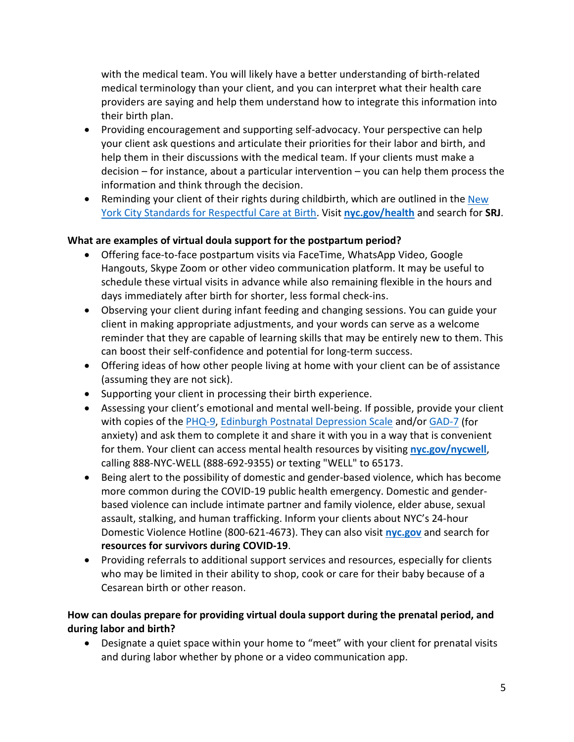with the medical team. You will likely have a better understanding of birth-related medical terminology than your client, and you can interpret what their health care providers are saying and help them understand how to integrate this information into their birth plan.

- Providing encouragement and supporting self-advocacy. Your perspective can help your client ask questions and articulate their priorities for their labor and birth, and help them in their discussions with the medical team. If your clients must make a decision – for instance, about a particular intervention – you can help them process the information and think through the decision.
- Reminding your client of their rights during childbirth, which are outlined in the New [York City Standards for Respectful Care at Birth.](https://www1.nyc.gov/assets/doh/downloads/pdf/ms/respectful-care-birth-brochure.pdf) Visit **[nyc.gov/health](http://nyc.gov/health)** and search for **SRJ**.

## **What are examples of virtual doula support for the postpartum period?**

- Offering face-to-face postpartum visits via FaceTime, WhatsApp Video, Google Hangouts, Skype Zoom or other video communication platform. It may be useful to schedule these virtual visits in advance while also remaining flexible in the hours and days immediately after birth for shorter, less formal check-ins.
- Observing your client during infant feeding and changing sessions. You can guide your client in making appropriate adjustments, and your words can serve as a welcome reminder that they are capable of learning skills that may be entirely new to them. This can boost their self-confidence and potential for long-term success.
- Offering ideas of how other people living at home with your client can be of assistance (assuming they are not sick).
- Supporting your client in processing their birth experience.
- Assessing your client's emotional and mental well-being. If possible, provide your client with copies of the [PHQ-9,](https://www.moodtreatmentcenter.com/phq9.pdf) [Edinburgh Postnatal Depression Scale](https://www.fresno.ucsf.edu/pediatrics/downloads/edinburghscale.pdf) and/or [GAD-7](https://www.crossroadscounselingcenters.com/pdf/Generalized%20Anxiety%20Disorder.pdf) (for anxiety) and ask them to complete it and share it with you in a way that is convenient for them. Your client can access mental health resources by visiting **[nyc.gov/nycwell](http://nyc.gov/nycwell)**, calling 888-NYC-WELL (888-692-9355) or texting "WELL" to 65173.
- Being alert to the possibility of domestic and gender-based violence, which has become more common during the COVID-19 public health emergency. Domestic and genderbased violence can include intimate partner and family violence, elder abuse, sexual assault, stalking, and human trafficking. Inform your clients about NYC's 24-hour Domestic Violence Hotline (800-621-4673). They can also visit **[nyc.gov](http://nyc.gov/)** and search for **resources for survivors during COVID-19**.
- Providing referrals to additional support services and resources, especially for clients who may be limited in their ability to shop, cook or care for their baby because of a Cesarean birth or other reason.

## **How can doulas prepare for providing virtual doula support during the prenatal period, and during labor and birth?**

• Designate a quiet space within your home to "meet" with your client for prenatal visits and during labor whether by phone or a video communication app.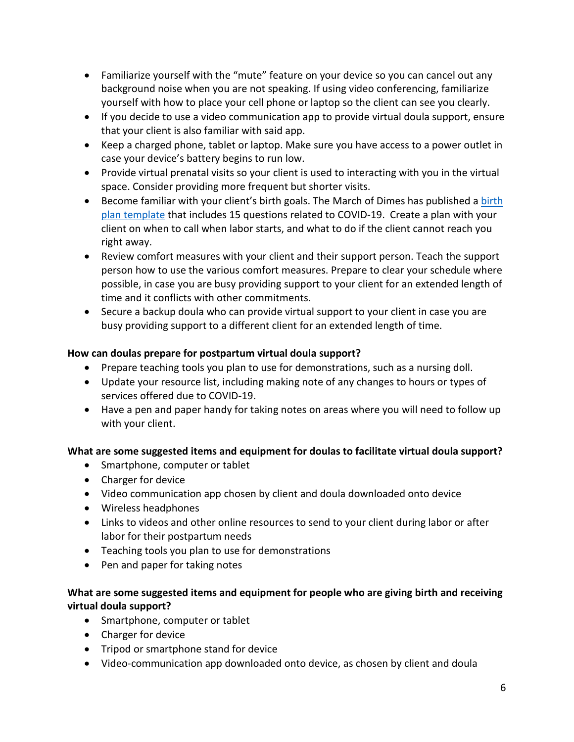- Familiarize yourself with the "mute" feature on your device so you can cancel out any background noise when you are not speaking. If using video conferencing, familiarize yourself with how to place your cell phone or laptop so the client can see you clearly.
- If you decide to use a video communication app to provide virtual doula support, ensure that your client is also familiar with said app.
- Keep a charged phone, tablet or laptop. Make sure you have access to a power outlet in case your device's battery begins to run low.
- Provide virtual prenatal visits so your client is used to interacting with you in the virtual space. Consider providing more frequent but shorter visits.
- Become familiar with your client's birth goals. The March of Dimes has published a birth plan template that includes 15 questions related to COVID-19. Create a plan with your client on when to call when labor starts, and what to do if the client cannot reach you right away.
- Review comfort measures with your client and their support person. Teach the support person how to use the various comfort measures. Prepare to clear your schedule where possible, in case you are busy providing support to your client for an extended length of time and it conflicts with other commitments.
- Secure a backup doula who can provide virtual support to your client in case you are busy providing support to a different client for an extended length of time.

## **How can doulas prepare for postpartum virtual doula support?**

- Prepare teaching tools you plan to use for demonstrations, such as a nursing doll.
- Update your resource list, including making note of any changes to hours or types of services offered due to COVID-19.
- Have a pen and paper handy for taking notes on areas where you will need to follow up with your client.

## **What are some suggested items and equipment for doulas to facilitate virtual doula support?**

- Smartphone, computer or tablet
- Charger for device
- Video communication app chosen by client and doula downloaded onto device
- Wireless headphones
- Links to videos and other online resources to send to your client during labor or after labor for their postpartum needs
- Teaching tools you plan to use for demonstrations
- Pen and paper for taking notes

# **What are some suggested items and equipment for people who are giving birth and receiving virtual doula support?**

- Smartphone, computer or tablet
- Charger for device
- Tripod or smartphone stand for device
- Video-communication app downloaded onto device, as chosen by client and doula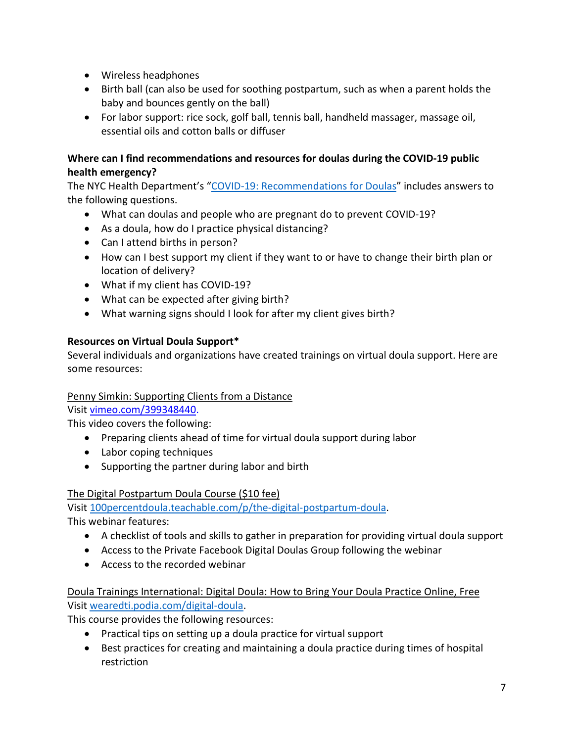- Wireless headphones
- Birth ball (can also be used for soothing postpartum, such as when a parent holds the baby and bounces gently on the ball)
- For labor support: rice sock, golf ball, tennis ball, handheld massager, massage oil, essential oils and cotton balls or diffuser

## **Where can I find recommendations and resources for doulas during the COVID-19 public health emergency?**

The NYC Health Department's ["COVID-19: Recommendations for Doulas"](https://www1.nyc.gov/assets/doh/downloads/pdf/imm/covid-19-recommendations-for-doulas.pdf) includes answers to the following questions.

- What can doulas and people who are pregnant do to prevent COVID-19?
- As a doula, how do I practice physical distancing?
- Can I attend births in person?
- How can I best support my client if they want to or have to change their birth plan or location of delivery?
- What if my client has COVID-19?
- What can be expected after giving birth?
- What warning signs should I look for after my client gives birth?

# **Resources on Virtual Doula Support\***

Several individuals and organizations have created trainings on virtual doula support. Here are some resources:

## Penny Simkin: Supporting Clients from a Distance

Visi[t vimeo.com/399348440.](https://vimeo.com/399348440)

This video covers the following:

- Preparing clients ahead of time for virtual doula support during labor
- Labor coping techniques
- Supporting the partner during labor and birth

# The Digital Postpartum Doula Course (\$10 fee)

Visi[t 100percentdoula.teachable.com/p/the-digital-postpartum-doula.](https://100percentdoula.teachable.com/p/the-digital-postpartum-doula)

This webinar features:

- A checklist of tools and skills to gather in preparation for providing virtual doula support
- Access to the Private Facebook Digital Doulas Group following the webinar
- Access to the recorded webinar

## Doula Trainings International: Digital Doula: How to Bring Your Doula Practice Online, Free Visi[t wearedti.podia.com/digital-doula.](https://wearedti.podia.com/digital-doula)

This course provides the following resources:

- Practical tips on setting up a doula practice for virtual support
- Best practices for creating and maintaining a doula practice during times of hospital restriction